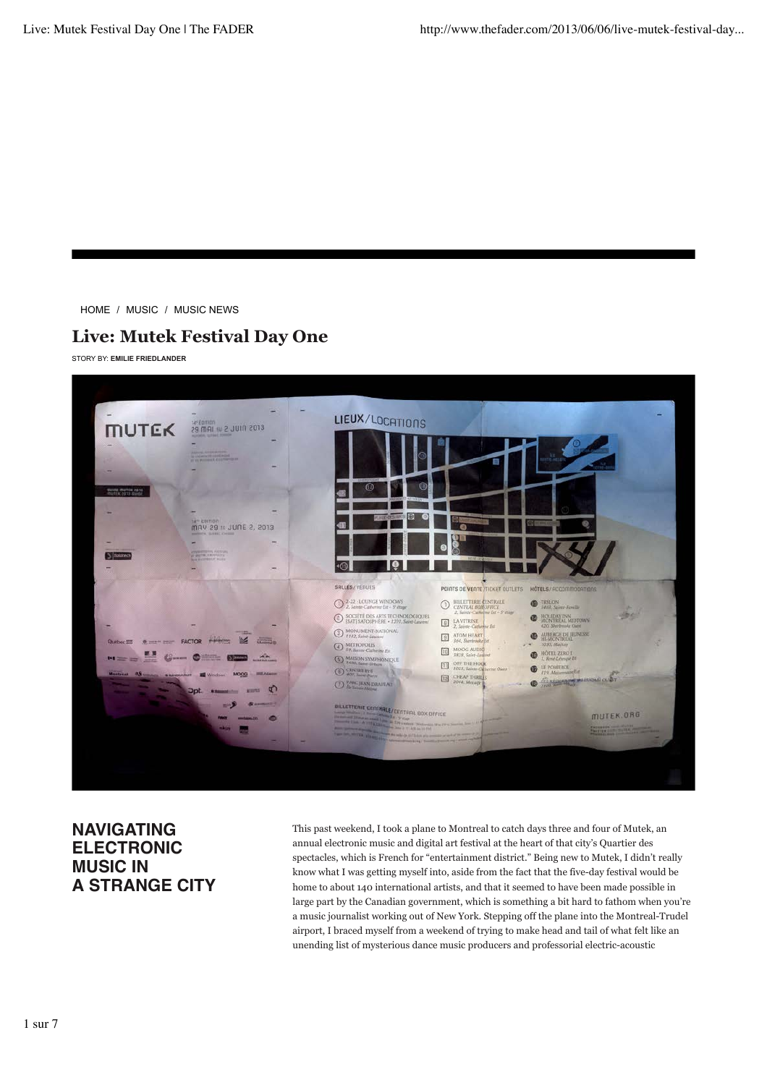HOME / MUSIC / MUSIC NEWS

## **Live: Mutek Festival Day One**

STORY BY: **EMILIE FRIEDLANDER**



## **NAVIGATING ELECTRONIC MUSIC IN A STRANGE CITY**

This past weekend, I took a plane to Montreal to catch days three and four of Mutek, an annual electronic music and digital art festival at the heart of that city's Quartier des spectacles, which is French for "entertainment district." Being new to Mutek, I didn't really know what I was getting myself into, aside from the fact that the five-day festival would be home to about 140 international artists, and that it seemed to have been made possible in large part by the Canadian government, which is something a bit hard to fathom when you're a music journalist working out of New York. Stepping off the plane into the Montreal-Trudel airport, I braced myself from a weekend of trying to make head and tail of what felt like an unending list of mysterious dance music producers and professorial electric-acoustic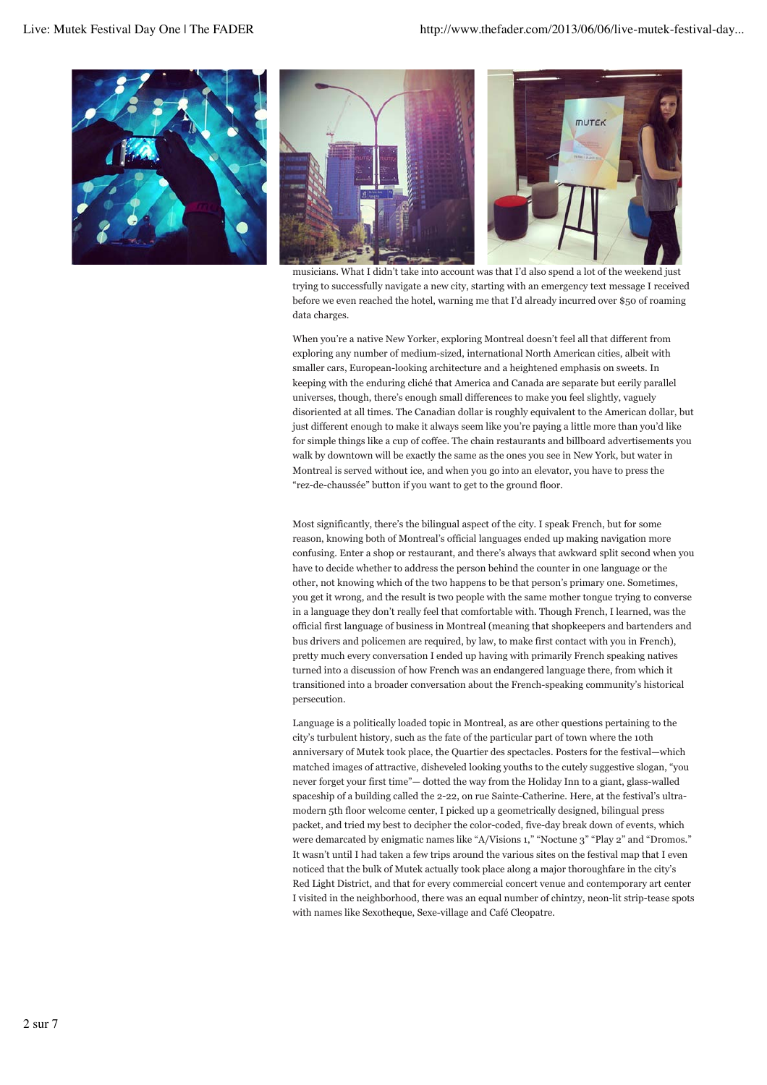

musicians. What I didn't take into account was that I'd also spend a lot of the weekend just trying to successfully navigate a new city, starting with an emergency text message I received before we even reached the hotel, warning me that I'd already incurred over \$50 of roaming data charges.

When you're a native New Yorker, exploring Montreal doesn't feel all that different from exploring any number of medium-sized, international North American cities, albeit with smaller cars, European-looking architecture and a heightened emphasis on sweets. In keeping with the enduring cliché that America and Canada are separate but eerily parallel universes, though, there's enough small differences to make you feel slightly, vaguely disoriented at all times. The Canadian dollar is roughly equivalent to the American dollar, but just different enough to make it always seem like you're paying a little more than you'd like for simple things like a cup of coffee. The chain restaurants and billboard advertisements you walk by downtown will be exactly the same as the ones you see in New York, but water in Montreal is served without ice, and when you go into an elevator, you have to press the "rez-de-chaussée" button if you want to get to the ground floor.

Most significantly, there's the bilingual aspect of the city. I speak French, but for some reason, knowing both of Montreal's official languages ended up making navigation more confusing. Enter a shop or restaurant, and there's always that awkward split second when you have to decide whether to address the person behind the counter in one language or the other, not knowing which of the two happens to be that person's primary one. Sometimes, you get it wrong, and the result is two people with the same mother tongue trying to converse in a language they don't really feel that comfortable with. Though French, I learned, was the official first language of business in Montreal (meaning that shopkeepers and bartenders and bus drivers and policemen are required, by law, to make first contact with you in French), pretty much every conversation I ended up having with primarily French speaking natives turned into a discussion of how French was an endangered language there, from which it transitioned into a broader conversation about the French-speaking community's historical persecution.

Language is a politically loaded topic in Montreal, as are other questions pertaining to the city's turbulent history, such as the fate of the particular part of town where the 10th anniversary of Mutek took place, the Quartier des spectacles. Posters for the festival—which matched images of attractive, disheveled looking youths to the cutely suggestive slogan, "you never forget your first time"— dotted the way from the Holiday Inn to a giant, glass-walled spaceship of a building called the 2-22, on rue Sainte-Catherine. Here, at the festival's ultramodern 5th floor welcome center, I picked up a geometrically designed, bilingual press packet, and tried my best to decipher the color-coded, five-day break down of events, which were demarcated by enigmatic names like "A/Visions 1," "Noctune 3" "Play 2" and "Dromos." It wasn't until I had taken a few trips around the various sites on the festival map that I even noticed that the bulk of Mutek actually took place along a major thoroughfare in the city's Red Light District, and that for every commercial concert venue and contemporary art center I visited in the neighborhood, there was an equal number of chintzy, neon-lit strip-tease spots with names like Sexotheque, Sexe-village and Café Cleopatre.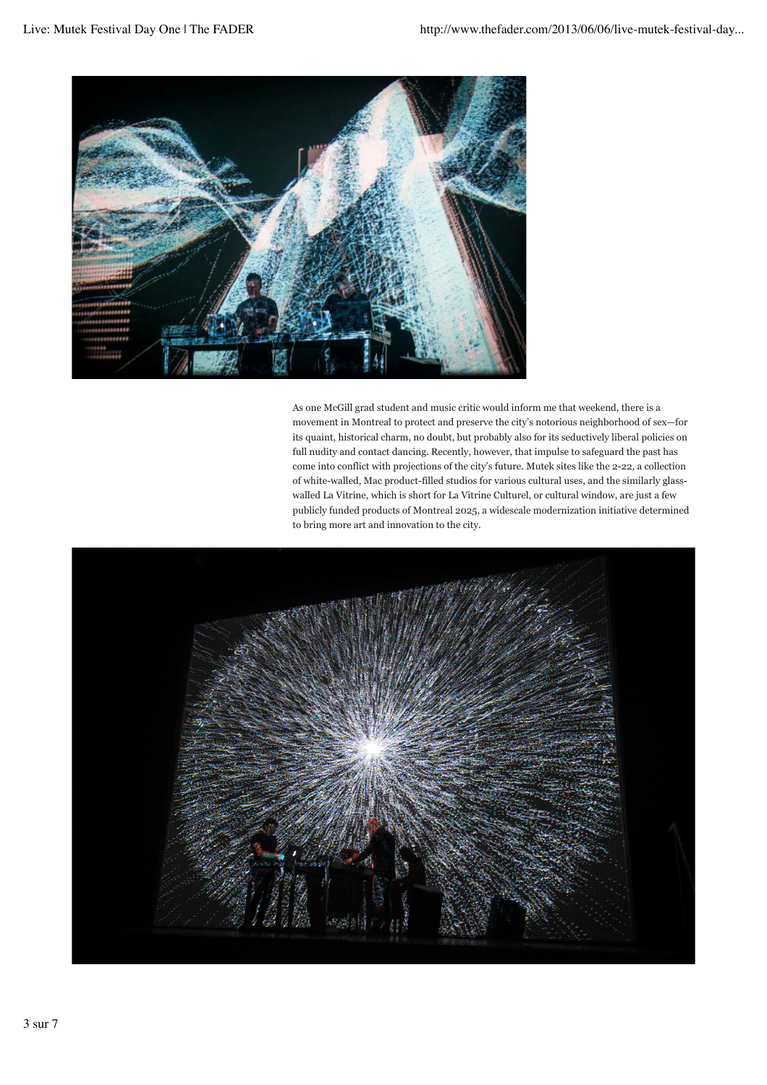

As one McGill grad student and music critic would inform me that weekend, there is a movement in Montreal to protect and preserve the city's notorious neighborhood of sex—for its quaint, historical charm, no doubt, but probably also for its seductively liberal policies on full nudity and contact dancing. Recently, however, that impulse to safeguard the past has come into conflict with projections of the city's future. Mutek sites like the 2-22, a collection of white-walled, Mac product-filled studios for various cultural uses, and the similarly glasswalled La Vitrine, which is short for La Vitrine Culturel, or cultural window, are just a few publicly funded products of Montreal 2025, a widescale modernization initiative determined to bring more art and innovation to the city.

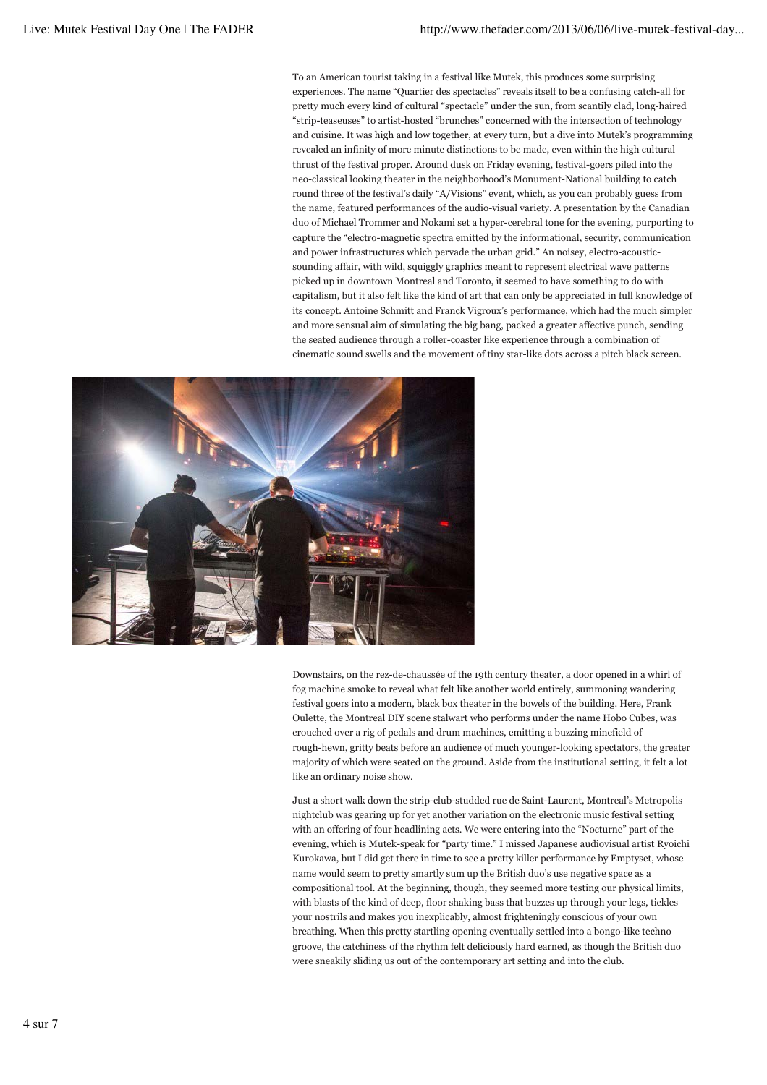To an American tourist taking in a festival like Mutek, this produces some surprising experiences. The name "Quartier des spectacles" reveals itself to be a confusing catch-all for pretty much every kind of cultural "spectacle" under the sun, from scantily clad, long-haired "strip-teaseuses" to artist-hosted "brunches" concerned with the intersection of technology and cuisine. It was high and low together, at every turn, but a dive into Mutek's programming revealed an infinity of more minute distinctions to be made, even within the high cultural thrust of the festival proper. Around dusk on Friday evening, festival-goers piled into the neo-classical looking theater in the neighborhood's Monument-National building to catch round three of the festival's daily "A/Visions" event, which, as you can probably guess from the name, featured performances of the audio-visual variety. A presentation by the Canadian duo of Michael Trommer and Nokami set a hyper-cerebral tone for the evening, purporting to capture the "electro-magnetic spectra emitted by the informational, security, communication and power infrastructures which pervade the urban grid." An noisey, electro-acousticsounding affair, with wild, squiggly graphics meant to represent electrical wave patterns picked up in downtown Montreal and Toronto, it seemed to have something to do with capitalism, but it also felt like the kind of art that can only be appreciated in full knowledge of its concept. Antoine Schmitt and Franck Vigroux's performance, which had the much simpler and more sensual aim of simulating the big bang, packed a greater affective punch, sending the seated audience through a roller-coaster like experience through a combination of cinematic sound swells and the movement of tiny star-like dots across a pitch black screen.



Downstairs, on the rez-de-chaussée of the 19th century theater, a door opened in a whirl of fog machine smoke to reveal what felt like another world entirely, summoning wandering festival goers into a modern, black box theater in the bowels of the building. Here, Frank Oulette, the Montreal DIY scene stalwart who performs under the name Hobo Cubes, was crouched over a rig of pedals and drum machines, emitting a buzzing minefield of rough-hewn, gritty beats before an audience of much younger-looking spectators, the greater majority of which were seated on the ground. Aside from the institutional setting, it felt a lot like an ordinary noise show.

Just a short walk down the strip-club-studded rue de Saint-Laurent, Montreal's Metropolis nightclub was gearing up for yet another variation on the electronic music festival setting with an offering of four headlining acts. We were entering into the "Nocturne" part of the evening, which is Mutek-speak for "party time." I missed Japanese audiovisual artist Ryoichi Kurokawa, but I did get there in time to see a pretty killer performance by Emptyset, whose name would seem to pretty smartly sum up the British duo's use negative space as a compositional tool. At the beginning, though, they seemed more testing our physical limits, with blasts of the kind of deep, floor shaking bass that buzzes up through your legs, tickles your nostrils and makes you inexplicably, almost frighteningly conscious of your own breathing. When this pretty startling opening eventually settled into a bongo-like techno groove, the catchiness of the rhythm felt deliciously hard earned, as though the British duo were sneakily sliding us out of the contemporary art setting and into the club.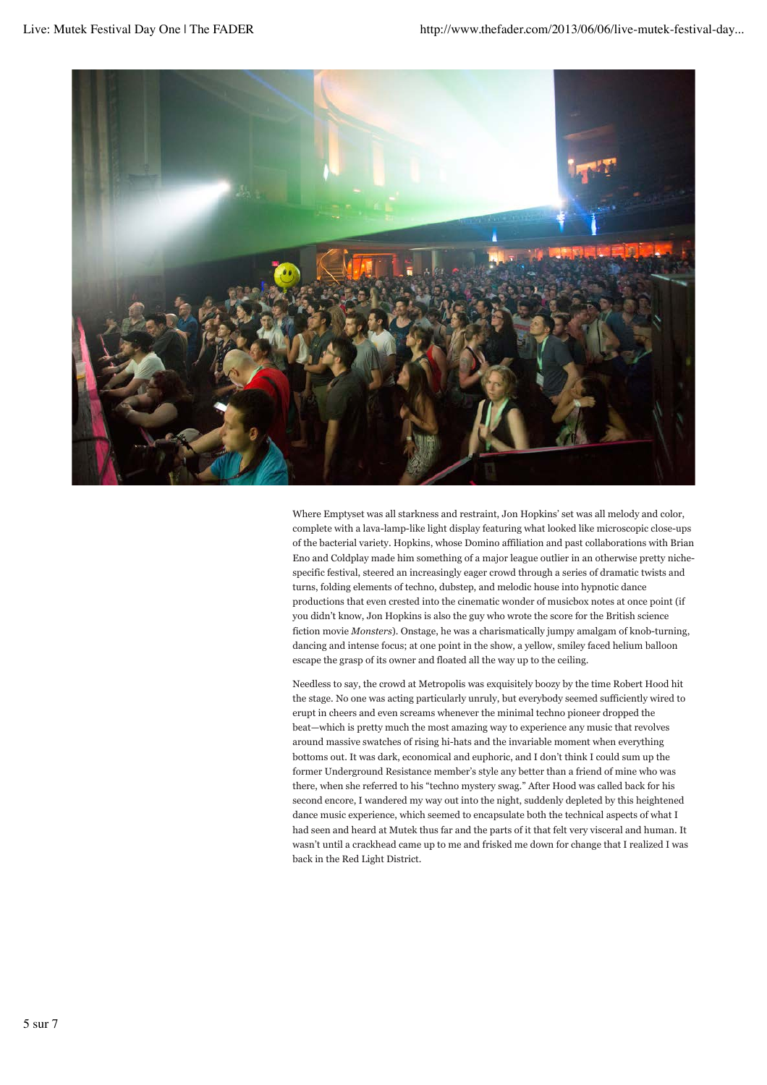

Where Emptyset was all starkness and restraint, Jon Hopkins' set was all melody and color, complete with a lava-lamp-like light display featuring what looked like microscopic close-ups of the bacterial variety. Hopkins, whose Domino affiliation and past collaborations with Brian Eno and Coldplay made him something of a major league outlier in an otherwise pretty nichespecific festival, steered an increasingly eager crowd through a series of dramatic twists and turns, folding elements of techno, dubstep, and melodic house into hypnotic dance productions that even crested into the cinematic wonder of musicbox notes at once point (if you didn't know, Jon Hopkins is also the guy who wrote the score for the British science fiction movie *Monsters*). Onstage, he was a charismatically jumpy amalgam of knob-turning, dancing and intense focus; at one point in the show, a yellow, smiley faced helium balloon escape the grasp of its owner and floated all the way up to the ceiling.

Needless to say, the crowd at Metropolis was exquisitely boozy by the time Robert Hood hit the stage. No one was acting particularly unruly, but everybody seemed sufficiently wired to erupt in cheers and even screams whenever the minimal techno pioneer dropped the beat—which is pretty much the most amazing way to experience any music that revolves around massive swatches of rising hi-hats and the invariable moment when everything bottoms out. It was dark, economical and euphoric, and I don't think I could sum up the former Underground Resistance member's style any better than a friend of mine who was there, when she referred to his "techno mystery swag." After Hood was called back for his second encore, I wandered my way out into the night, suddenly depleted by this heightened dance music experience, which seemed to encapsulate both the technical aspects of what I had seen and heard at Mutek thus far and the parts of it that felt very visceral and human. It wasn't until a crackhead came up to me and frisked me down for change that I realized I was back in the Red Light District.